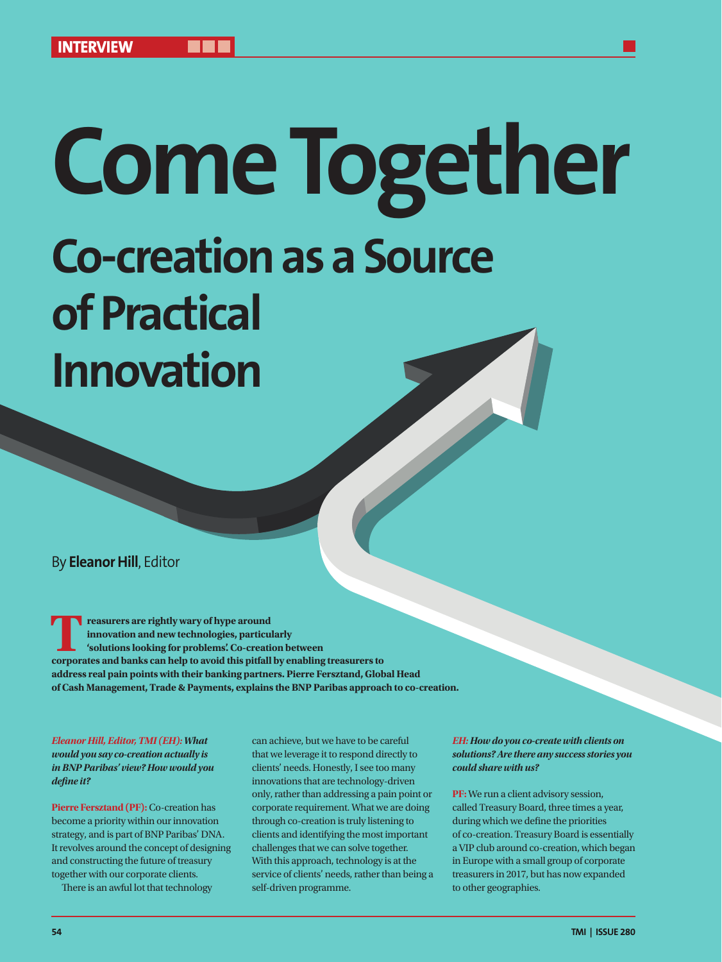# **Come Together Co-creation as a Source of Practical Innovation**

By **Eleanor Hill**, Editor

**Treasurers are rightly wary of hype around innovation and new technologies, particularly (solutions looking for problems). Co-creation between corporates and banks can help to avoid this pitfall by enabling treasurers to innovation and new technologies, particularly 'solutions looking for problems'. Co-creation between address real pain points with their banking partners. Pierre Fersztand, Global Head of Cash Management, Trade & Payments, explains the BNP Paribas approach to co-creation.**

*Eleanor Hill, Editor, TMI (EH): What would you say co-creation actually is in BNP Paribas' view? How would you define it?* 

**Pierre Fersztand (PF):** Co-creation has become a priority within our innovation strategy, and is part of BNP Paribas' DNA. It revolves around the concept of designing and constructing the future of treasury together with our corporate clients.

There is an awful lot that technology

can achieve, but we have to be careful that we leverage it to respond directly to clients' needs. Honestly, I see too many innovations that are technology-driven only, rather than addressing a pain point or corporate requirement. What we are doing through co-creation is truly listening to clients and identifying the most important challenges that we can solve together. With this approach, technology is at the service of clients' needs, rather than being a self-driven programme.

*EH: How do you co-create with clients on solutions? Are there any success stories you could share with us?* 

**PF:** We run a client advisory session, called Treasury Board, three times a year, during which we define the priorities of co-creation. Treasury Board is essentially a VIP club around co-creation, which began in Europe with a small group of corporate treasurers in 2017, but has now expanded to other geographies.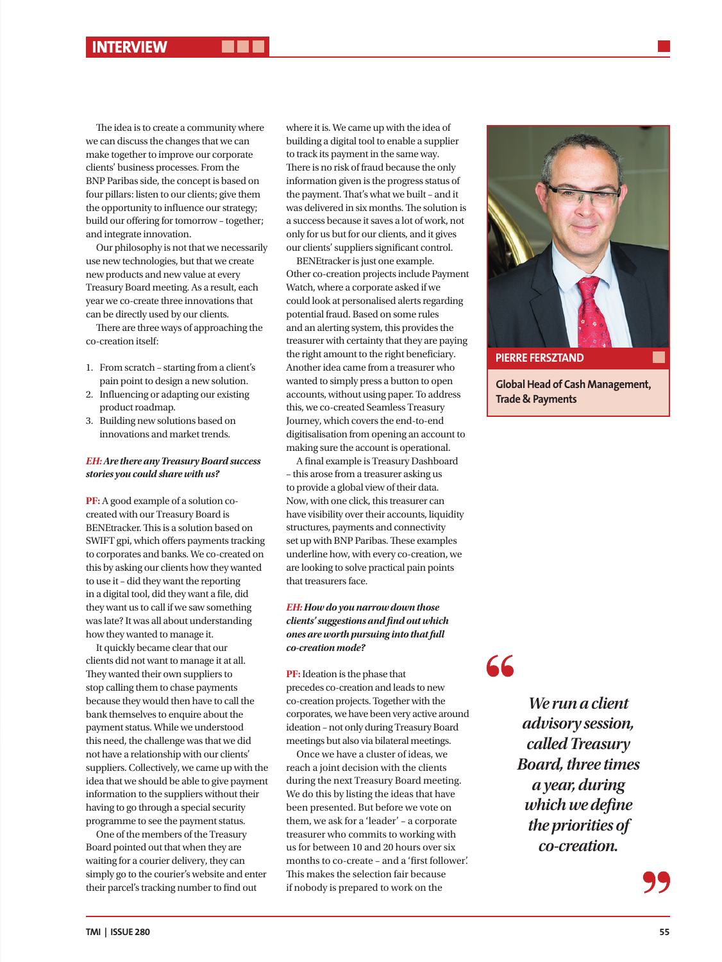The idea is to create a community where we can discuss the changes that we can make together to improve our corporate clients' business processes. From the BNP Paribas side, the concept is based on four pillars: listen to our clients; give them the opportunity to influence our strategy; build our offering for tomorrow – together; and integrate innovation.

Our philosophy is not that we necessarily use new technologies, but that we create new products and new value at every Treasury Board meeting. As a result, each year we co-create three innovations that can be directly used by our clients.

There are three ways of approaching the co-creation itself:

- 1. From scratch starting from a client's pain point to design a new solution.
- 2. Influencing or adapting our existing product roadmap.
- 3. Building new solutions based on innovations and market trends.

#### *EH: Are there any Treasury Board success stories you could share with us?*

**PF:** A good example of a solution cocreated with our Treasury Board is BENEtracker. This is a solution based on SWIFT gpi, which offers payments tracking to corporates and banks. We co-created on this by asking our clients how they wanted to use it – did they want the reporting in a digital tool, did they want a file, did they want us to call if we saw something was late? It was all about understanding how they wanted to manage it.

It quickly became clear that our clients did not want to manage it at all. They wanted their own suppliers to stop calling them to chase payments because they would then have to call the bank themselves to enquire about the payment status. While we understood this need, the challenge was that we did not have a relationship with our clients' suppliers. Collectively, we came up with the idea that we should be able to give payment information to the suppliers without their having to go through a special security programme to see the payment status.

One of the members of the Treasury Board pointed out that when they are waiting for a courier delivery, they can simply go to the courier's website and enter their parcel's tracking number to find out

where it is. We came up with the idea of building a digital tool to enable a supplier to track its payment in the same way. There is no risk of fraud because the only information given is the progress status of the payment. That's what we built – and it was delivered in six months. The solution is a success because it saves a lot of work, not only for us but for our clients, and it gives our clients' suppliers significant control.

BENEtracker is just one example. Other co-creation projects include Payment Watch, where a corporate asked if we could look at personalised alerts regarding potential fraud. Based on some rules and an alerting system, this provides the treasurer with certainty that they are paying the right amount to the right beneficiary. Another idea came from a treasurer who wanted to simply press a button to open accounts, without using paper. To address this, we co-created Seamless Treasury Journey, which covers the end-to-end digitisalisation from opening an account to making sure the account is operational.

A final example is Treasury Dashboard – this arose from a treasurer asking us to provide a global view of their data. Now, with one click, this treasurer can have visibility over their accounts, liquidity structures, payments and connectivity set up with BNP Paribas. These examples underline how, with every co-creation, we are looking to solve practical pain points that treasurers face.

#### *EH: How do you narrow down those clients' suggestions and find out which ones are worth pursuing into that full co-creation mode?*

**PF:** Ideation is the phase that precedes co-creation and leads to new co-creation projects. Together with the corporates, we have been very active around ideation – not only during Treasury Board meetings but also via bilateral meetings.

Once we have a cluster of ideas, we reach a joint decision with the clients during the next Treasury Board meeting. We do this by listing the ideas that have been presented. But before we vote on them, we ask for a 'leader' – a corporate treasurer who commits to working with us for between 10 and 20 hours over six months to co-create – and a 'first follower'. This makes the selection fair because if nobody is prepared to work on the



**Global Head of Cash Management, Trade & Payments** 

### 66

*We run a client advisory session, called Treasury Board, three times a year, during which we define the priorities of co-creation.*